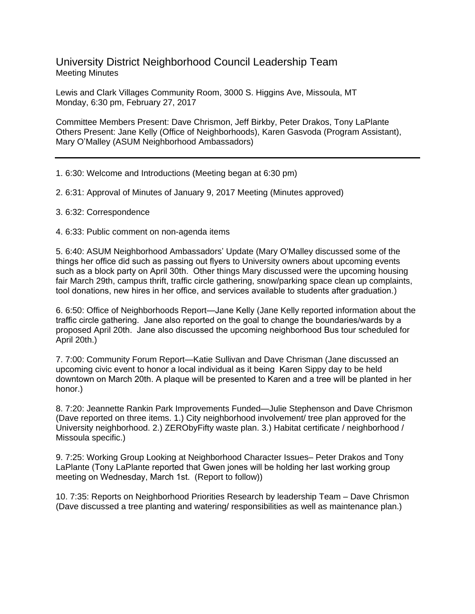University District Neighborhood Council Leadership Team Meeting Minutes

Lewis and Clark Villages Community Room, 3000 S. Higgins Ave, Missoula, MT Monday, 6:30 pm, February 27, 2017

Committee Members Present: Dave Chrismon, Jeff Birkby, Peter Drakos, Tony LaPlante Others Present: Jane Kelly (Office of Neighborhoods), Karen Gasvoda (Program Assistant), Mary O'Malley (ASUM Neighborhood Ambassadors)

1. 6:30: Welcome and Introductions (Meeting began at 6:30 pm)

2. 6:31: Approval of Minutes of January 9, 2017 Meeting (Minutes approved)

3. 6:32: Correspondence

4. 6:33: Public comment on non-agenda items

5. 6:40: ASUM Neighborhood Ambassadors' Update (Mary O'Malley discussed some of the things her office did such as passing out flyers to University owners about upcoming events such as a block party on April 30th. Other things Mary discussed were the upcoming housing fair March 29th, campus thrift, traffic circle gathering, snow/parking space clean up complaints, tool donations, new hires in her office, and services available to students after graduation.)

6. 6:50: Office of Neighborhoods Report—Jane Kelly (Jane Kelly reported information about the traffic circle gathering. Jane also reported on the goal to change the boundaries/wards by a proposed April 20th. Jane also discussed the upcoming neighborhood Bus tour scheduled for April 20th.)

7. 7:00: Community Forum Report—Katie Sullivan and Dave Chrisman (Jane discussed an upcoming civic event to honor a local individual as it being Karen Sippy day to be held downtown on March 20th. A plaque will be presented to Karen and a tree will be planted in her honor.)

8. 7:20: Jeannette Rankin Park Improvements Funded—Julie Stephenson and Dave Chrismon (Dave reported on three items. 1.) City neighborhood involvement/ tree plan approved for the University neighborhood. 2.) ZERObyFifty waste plan. 3.) Habitat certificate / neighborhood / Missoula specific.)

9. 7:25: Working Group Looking at Neighborhood Character Issues– Peter Drakos and Tony LaPlante (Tony LaPlante reported that Gwen jones will be holding her last working group meeting on Wednesday, March 1st. (Report to follow))

10. 7:35: Reports on Neighborhood Priorities Research by leadership Team – Dave Chrismon (Dave discussed a tree planting and watering/ responsibilities as well as maintenance plan.)